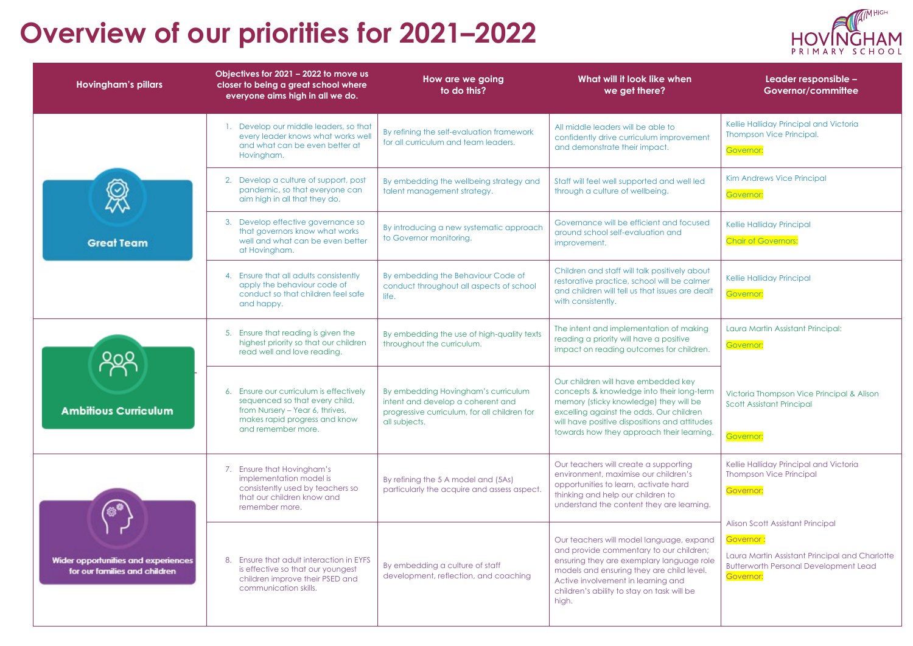## **Overview of our priorities for 2021–2022**

| <b>Hovingham's pillars</b>                                                 | Objectives for 2021 - 2022 to move us<br>closer to being a great school where<br>everyone aims high in all we do.                                                   | How are we going<br>to do this?                                                                                                           | What will it look like when<br>we get there?                                                                                                                                                                                                                               | Leader responsible -<br>Governor/committee                                                                                                                   |
|----------------------------------------------------------------------------|---------------------------------------------------------------------------------------------------------------------------------------------------------------------|-------------------------------------------------------------------------------------------------------------------------------------------|----------------------------------------------------------------------------------------------------------------------------------------------------------------------------------------------------------------------------------------------------------------------------|--------------------------------------------------------------------------------------------------------------------------------------------------------------|
| <b>Great Team</b>                                                          | Develop our middle leaders, so that<br>every leader knows what works well<br>and what can be even better at<br>Hovingham.                                           | By refining the self-evaluation framework<br>for all curriculum and team leaders.                                                         | All middle leaders will be able to<br>confidently drive curriculum improvement<br>and demonstrate their impact.                                                                                                                                                            | Kellie Halliday Principal and Victoria<br><b>Thompson Vice Principal.</b><br>Governor:                                                                       |
|                                                                            | 2. Develop a culture of support, post<br>pandemic, so that everyone can<br>aim high in all that they do.                                                            | By embedding the wellbeing strategy and<br>talent management strategy.                                                                    | Staff will feel well supported and well led<br>through a culture of wellbeing.                                                                                                                                                                                             | Kim Andrews Vice Principal<br>Governor:                                                                                                                      |
|                                                                            | 3. Develop effective governance so<br>that governors know what works<br>well and what can be even better<br>at Hovingham.                                           | By introducing a new systematic approach<br>to Governor monitoring.                                                                       | Governance will be efficient and focused<br>around school self-evaluation and<br>improvement.                                                                                                                                                                              | Kellie Halliday Principal<br><b>Chair of Governors:</b>                                                                                                      |
|                                                                            | 4. Ensure that all adults consistently<br>apply the behaviour code of<br>conduct so that children feel safe<br>and happy.                                           | By embedding the Behaviour Code of<br>conduct throughout all aspects of school<br>life.                                                   | Children and staff will talk positively about<br>restorative practice, school will be calmer<br>and children will tell us that issues are dealt<br>with consistently.                                                                                                      | Kellie Halliday Principal<br>Governor:                                                                                                                       |
| <b>Ambitious Curriculum</b>                                                | 5. Ensure that reading is given the<br>highest priority so that our children<br>read well and love reading.                                                         | By embedding the use of high-quality texts<br>throughout the curriculum.                                                                  | The intent and implementation of making<br>reading a priority will have a positive<br>impact on reading outcomes for children.                                                                                                                                             | Laura Martin Assistant Principal:<br>Governor:                                                                                                               |
|                                                                            | 6. Ensure our curriculum is effectively<br>sequenced so that every child,<br>from Nursery – Year 6, thrives,<br>makes rapid progress and know<br>and remember more. | By embedding Hovingham's curriculum<br>intent and develop a coherent and<br>progressive curriculum, for all children for<br>all subjects. | Our children will have embedded key<br>concepts & knowledge into their long-term<br>memory (sticky knowledge) they will be<br>excelling against the odds. Our children<br>will have positive dispositions and attitudes<br>towards how they approach their learning.       | Victoria Thompson Vice Principal & Alison<br><b>Scott Assistant Principal</b><br>Governor:                                                                   |
| ⊛®<br>Wider opportunities and experiences<br>for our families and children | 7. Ensure that Hovingham's<br>implementation model is<br>consistently used by teachers so<br>that our children know and<br>remember more.                           | By refining the 5 A model and (5As)<br>particularly the acquire and assess aspect.                                                        | Our teachers will create a supporting<br>environment, maximise our children's<br>opportunities to learn, activate hard<br>thinking and help our children to<br>understand the content they are learning.                                                                   | Kellie Halliday Principal and Victoria<br><b>Thompson Vice Principal</b><br>Governor:                                                                        |
|                                                                            | 8. Ensure that adult interaction in EYFS<br>is effective so that our youngest<br>children improve their PSED and<br>communication skills.                           | By embedding a culture of staff<br>development, reflection, and coaching                                                                  | Our teachers will model language, expand<br>and provide commentary to our children;<br>ensuring they are exemplary language role<br>models and ensuring they are child level.<br>Active involvement in learning and<br>children's ability to stay on task will be<br>high. | Alison Scott Assistant Principal<br>Governor:<br>Laura Martin Assistant Principal and Charlotte<br><b>Butterworth Personal Development Lead</b><br>Governor: |